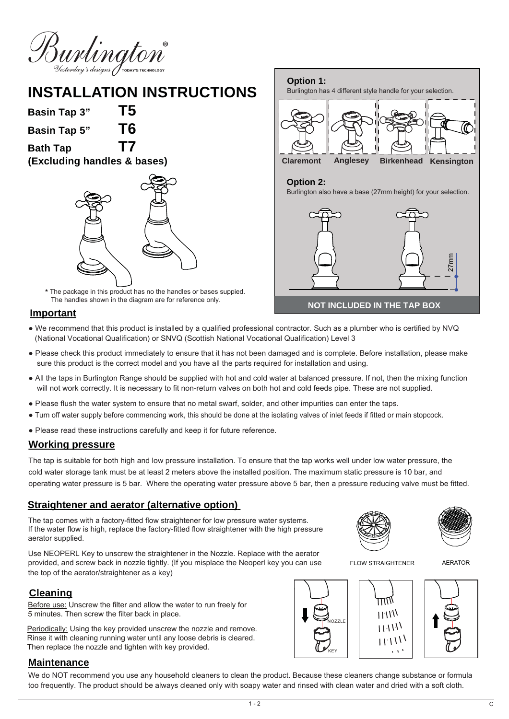

# **INSTALLATION INSTRUCTIONS**

**Basin Tap 3" T5 Basin Tap 5" T6**

**Bath Tap T7 (Excluding handles & bases)**



**\*** The package in this product has no the handles or bases suppied. The handles shown in the diagram are for reference only.

#### **Important**

- We recommend that this product is installed by a qualified professional contractor. Such as a plumber who is certified by NVQ (National Vocational Qualification) or SNVQ (Scottish National Vocational Qualification) Level 3
- Please check this product immediately to ensure that it has not been damaged and is complete. Before installation, please make sure this product is the correct model and you have all the parts required for installation and using.
- All the taps in Burlington Range should be supplied with hot and cold water at balanced pressure. If not, then the mixing function will not work correctly. It is necessary to fit non-return valves on both hot and cold feeds pipe. These are not supplied.
- Please flush the water system to ensure that no metal swarf, solder, and other impurities can enter the taps.
- Turn off water supply before commencing work, this should be done at the isolating valves of inlet feeds if fitted or main stopcock.
- Please read these instructions carefully and keep it for future reference.

#### **Working pressure**

The tap is suitable for both high and low pressure installation. To ensure that the tap works well under low water pressure, the cold water storage tank must be at least 2 meters above the installed position. The maximum static pressure is 10 bar, and operating water pressure is 5 bar. Where the operating water pressure above 5 bar, then a pressure reducing valve must be fitted.

#### **Straightener and aerator (alternative option)**

The tap comes with a factory-fitted flow straightener for low pressure water systems. If the water flow is high, replace the factory-fitted flow straightener with the high pressure aerator supplied.

Use NEOPERL Key to unscrew the straightener in the Nozzle. Replace with the aerator provided, and screw back in nozzle tightly. (If you misplace the Neoperl key you can use the top of the aerator/straightener as a key)

### **Cleaning**

Before use: Unscrew the filter and allow the water to run freely for 5 minutes. Then screw the filter back in place.

Periodically: Using the key provided unscrew the nozzle and remove. Rinse it with cleaning running water until any loose debris is cleared. Then replace the nozzle and tighten with key provided.

#### **Maintenance**

We do NOT recommend you use any household cleaners to clean the product. Because these cleaners change substance or formula too frequently. The product should be always cleaned only with soapy water and rinsed with clean water and dried with a soft cloth.



**NOT INCLUDED IN THE TAP BOX**

FLOW STRAIGHTENER

AERATOR



 $1 - 2$